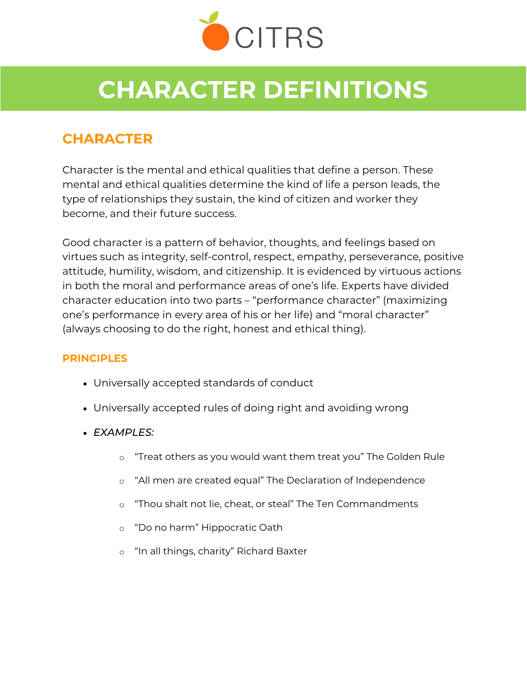

# **CHARACTER DEFINITIONS**

## **CHARACTER**

Character is the mental and ethical qualities that define a person. These mental and ethical qualities determine the kind of life a person leads, the type of relationships they sustain, the kind of citizen and worker they become, and their future success.

Good character is a pattern of behavior, thoughts, and feelings based on virtues such as integrity, self-control, respect, empathy, perseverance, positive attitude, humility, wisdom, and citizenship. It is evidenced by virtuous actions in both the moral and performance areas of one's life. Experts have divided character education into two parts – "performance character" (maximizing one's performance in every area of his or her life) and "moral character" (always choosing to do the right, honest and ethical thing).

#### **PRINCIPLES**

- Universally accepted standards of conduct
- Universally accepted rules of doing right and avoiding wrong
- *EXAMPLES:*
	- o "Treat others as you would want them treat you" The Golden Rule
	- o "All men are created equal" The Declaration of Independence
	- o "Thou shalt not lie, cheat, or steal" The Ten Commandments
	- o "Do no harm" Hippocratic Oath
	- o "In all things, charity" Richard Baxter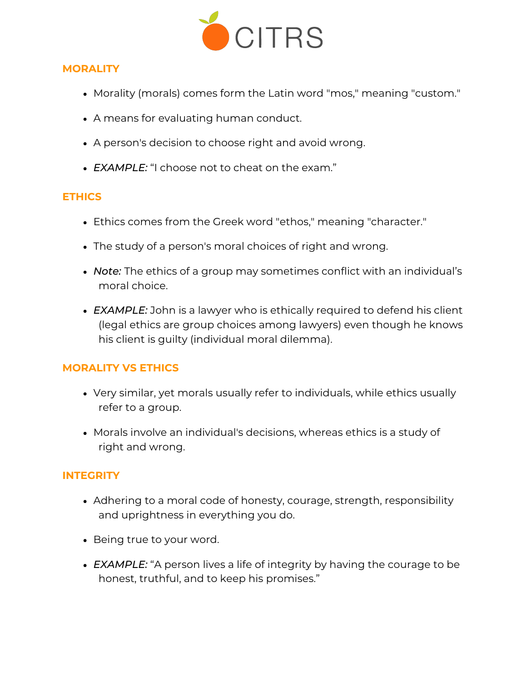

#### **MORALITY**

- Morality (morals) comes form the Latin word "mos," meaning "custom."
- A means for evaluating human conduct.
- A person's decision to choose right and avoid wrong.
- *EXAMPLE:* "I choose not to cheat on the exam."

#### **ETHICS**

- Ethics comes from the Greek word "ethos," meaning "character."
- The study of a person's moral choices of right and wrong.
- *Note:* The ethics of a group may sometimes conflict with an individual's moral choice.
- **EXAMPLE:** John is a lawyer who is ethically required to defend his client (legal ethics are group choices among lawyers) even though he knows his client is guilty (individual moral dilemma).

#### **MORALITY VS ETHICS**

- Very similar, yet morals usually refer to individuals, while ethics usually refer to a group.
- Morals involve an individual's decisions, whereas ethics is a study of right and wrong.

#### **INTEGRITY**

- Adhering to a moral code of honesty, courage, strength, responsibility and uprightness in everything you do.
- Being true to your word.
- **EXAMPLE:** "A person lives a life of integrity by having the courage to be honest, truthful, and to keep his promises."